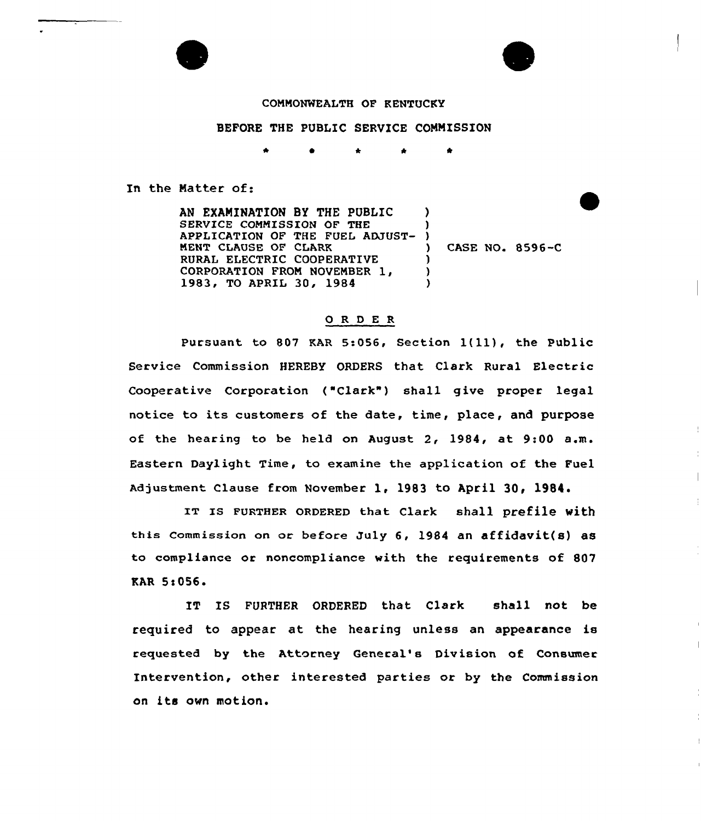

BEFORE THE PUBLIC SERVICE COMMISSION

In the Matter of:

AN EXAMINATION BY THE PUBLIC SERVICE COMMISSION OF THE APPLICATION OF THE FUEL ADJUST-MENT CLAUSE OF CLARK RURAL ELECTRIC COOPERATIVE CORPORATION FROM NOVEMBER 1,<br>1983, TO APRIL 30, 1984 ) ) ) ) ) )

) CASE NO. 8596-C

## 0 <sup>R</sup> <sup>D</sup> E <sup>R</sup>

Pursuant to <sup>807</sup> KAR 5:056, Section 1(ll), the Public Service Commission HEREBY ORDERS that. Clark Rural Electric Cooperative Corporation ("Clark") shall give proper legal notice to its customers of the date, time, place, and purpose of the hearing to be held on August 2, 1984, at 9:00 a.m. Eastern Daylight Time, to examine the application of the Fuel Adjustment Clause from November 1, 1983 to April 30, 1984

IT IS FURTHER ORDERED that Clark shall prefile with this commission on or before July 6, 1984 an affidavit(s) as to compliance or noncompliance with the requirements of 807 RAR 5<056

IT IS FURTHER ORDERED that Clark shall not be required to appear at the hearing unless an appearance is requested by the Attorney General's Division of Consumer Intervention, other interested parties or by the Commission an its own motion.